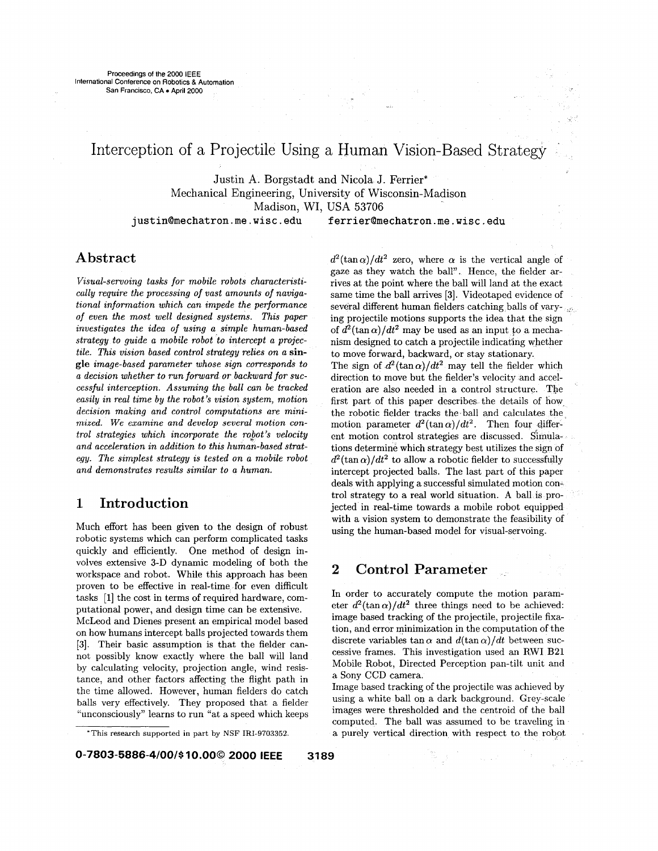# Interception of a Projectile Using a Human Vision-Based Strategy

Justin A. Borgstadt and Nicola J. Ferrier\* Mechanical Engineering, University of Wisconsin-Madison Madison, WI, USA 53706

**[justin@mechatron.me.wisc.edu](mailto:justin@mechatron.me.wisc.edu)** 

**[ferrier@mechatron.me.wisc.edu](mailto:ferrier@mechatron.me.wisc.edu)** 

## **Abstract**

*Vasual-semroing tasks for mobile robots characteristically require the processing of vast amounts of navigational information which can impede the performance of even the most well designed systems. This paper investigates the idea of using a simple human-based strategy to guide a mobile robot to intercept a projectile. This vision based control strategy relies on a* **single** *image-based parameter whose sign corresponds to a decision whether to run forward or backward for successful interception. Assuming the ball can be tracked easily in real time by the robot's vision system, motion decision making and control computations are minimized. We examine and develop several motion control strategies which incorporate the rojot's velocity and acceleration in addition to this human-based strategy. The simplest strategy is tested on a mobile robot and demonstrates results similar to a human.* 

## **1 Introduction**

Much effort has been given to the design of robust robotic systems which can perform complicated tasks quickly and efficiently. One method of design involves extensive 3-D dynamic modeling of both the workspace and robot. While this approach has been proven to be effective in real-time for even difficult tasks **[l]** the cost in terms of required hardware, computational power, and design time can be extensive. McLeod and Dienes present an empirical model based on how humans intercept balls projected towards them **[3].** Their basic assumption is that the fielder cannot possibly know exactly where the ball will land by calculating velocity, projection angle, wind resistance, and other factors affecting the flight path in the time allowed. However, human fielders do catch balls very effectively. They proposed that a fielder "unconsciously" learns to run "at a speed which keeps  $d^2(\tan \alpha)/dt^2$  zero, where  $\alpha$  is the vertical angle of gaze as they watch the ball". Hence, the fielder arrives at the point where the ball will land at the exact same time the ball arrives [3]. Videotaped evidence of several different human fielders catching balls of varying projectile motions supports the idea that the sign of  $d^2(\tan \alpha)/dt^2$  may be used as an input to a mechanism designed to catch a projectile indicating whether to move forward, backward, or stay stationary. The sign of  $d^2(\tan \alpha)/dt^2$  may tell the fielder which direction to move but the fielder's velocity and acceleration are also needed in a control structure. The first part of this paper describes the details of how the robotic fielder tracks the ball and calculates the motion parameter  $d^2(\tan \alpha)/dt^2$ . Then four different motion control strategies are discussed. Simulations determine which strategy best utilizes the sign of  $d^2(\tan \alpha)/dt^2$  to allow a robotic fielder to successfully intercept projected balls. The last part of this paper deals with applying a successful simulated motion control strategy to a real world situation. **A** ball is projected in real-time towards a mobile robot equipped with a vision system to demonstrate the feasibility of using the human-based model for visual-servoing.

## **2 Control Parameter** .

In order to accurately compute the motion parameter  $d^2(\tan \alpha)/dt^2$  three things need to be achieved: image based tracking of the projectile, projectile fixation, and error minimization in the computation of the discrete variables tan  $\alpha$  and  $d(\tan \alpha)/dt$  between successive frames. This investigation used an RWI B21 Mobile Robot, Directed Perception pan-tilt unit and a Sony CCD camera.

Image based tracking of the projectile was achieved by using a white ball on a dark background. Grey-scale images were thresholded and the centroid of the ball computed. The ball was assumed to be traveling in a purely vertical direction with respect to the robot

<sup>&#</sup>x27;This research supported **in** part by NSF **IRI-9703352.**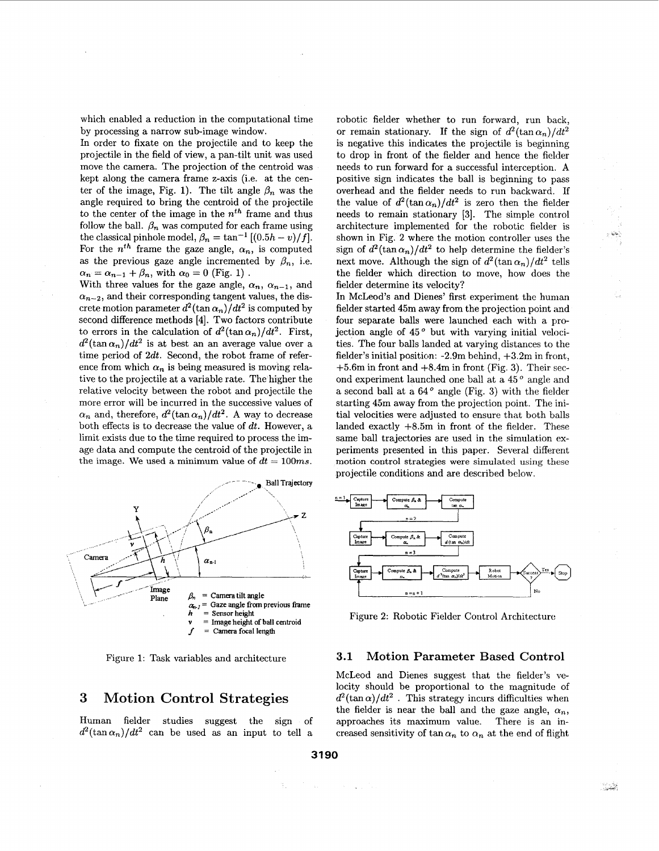which enabled a reduction in the computational time by processing a narrow sub-image window.

In order to fixate on the projectile and to keep the projectile in the field of view, a pan-tilt unit was used move the camera. The projection of the centroid was kept along the camera frame z-axis (i.e. at the center of the image, Fig. 1). The tilt angle  $\beta_n$  was the angle required to bring the centroid of the projectile to the center of the image in the *nth* frame and thus follow the ball.  $\beta_n$  was computed for each frame using the classical pinhole model,  $\beta_n = \tan^{-1} \left[ (0.5h - v)/f \right]$ . For the  $n^{th}$  frame the gaze angle,  $\alpha_n$ , is computed as the previous gaze angle incremented by  $\beta_n$ , i.e.  $\alpha_n = \alpha_{n-1} + \beta_n$ , with  $\alpha_0 = 0$  (Fig. 1).

With three values for the gaze angle,  $\alpha_n$ ,  $\alpha_{n-1}$ , and  $\alpha_{n-2}$ , and their corresponding tangent values, the discrete motion parameter  $d^2(\tan \alpha_n)/dt^2$  is computed by second difference methods [4]. Two factors contribute to errors in the calculation of  $d^2(\tan \alpha_n)/dt^2$ . First,  $d^2(\tan \alpha_n)/dt^2$  is at best an an average value over a time period of 2dt. Second, the robot frame of reference from which  $\alpha_n$  is being measured is moving relative to the projectile at a variable rate. The higher the relative velocity between the robot and projectile the more error will be incurred in the successive values of  $\alpha_n$  and, therefore,  $d^2(\tan \alpha_n)/dt^2$ . A way to decrease both effects is to decrease the value of  $dt$ . However, a limit exists due to the time required to process the image data and compute the centroid of the projectile in the image. We used a minimum value of  $dt = 100ms$ .



robotic fielder whether to run forward, run back, or remain stationary. If the sign of  $d^2(\tan \alpha_n)/dt^2$ is negative this indicates the projectile is beginning to drop in front of the fielder and hence the fielder needs to run forward for a successful interception. A positive sign indicates the ball is beginning to pass overhead and the fielder needs to run backward. If the value of  $d^2(\tan \alpha_n)/dt^2$  is zero then the fielder needs to remain stationary [3]. The simple control architecture implemented for the robotic fielder is shown in Fig. 2 where the motion controller uses the sign of  $d^2(\tan \alpha_n)/dt^2$  to help determine the fielder's next move. Although the sign of  $d^2(\tan \alpha_n)/dt^2$  tells the fielder which direction to move, how does the fielder determine its velocity?

In McLeod's and Dienes' first experiment the human fielder started 45m away from the projection point and four separate balls were launched each with a projection angle of  $45<sup>o</sup>$  but with varying initial velocities. The four balls landed at varying distances to the fielder's initial position: -2.9m behind, +3.2m in front, +5.6m in front and +8.4m in front (Fig. **3).** Their second experiment launched one ball at a 45<sup>°</sup> angle and a second ball at a  $64^{\circ}$  angle (Fig. 3) with the fielder starting 45m away from the projection point. The initial velocities were adjusted to ensure that both balls landed exactly +8.5m in front of the fielder. These same ball trajectories are used in the simulation experiments presented in this paper. Several different motion control strategies were simulated using these projectile conditions and are described below.



### Figure 1: Task variables and architecture **3.1 Motion Parameter Based Control**

McLeod and Dienes suggest that the fielder's velocity should be proportional to the magnitude of **3** Motion Control Strategies  $d^2(\tan \alpha)/dt^2$ . This strategy incurs difficulties when the fielder is near the ball and the gaze angle,  $\alpha_n$ , Human fielder studies suggest the sign of approaches its maximum value. There is an in  $d^2(\tan \alpha_n)/dt^2$  can be used as an input to tell a creased sensitivity of tan $\alpha_n$  to  $\alpha_n$  at the end of flight

*-5*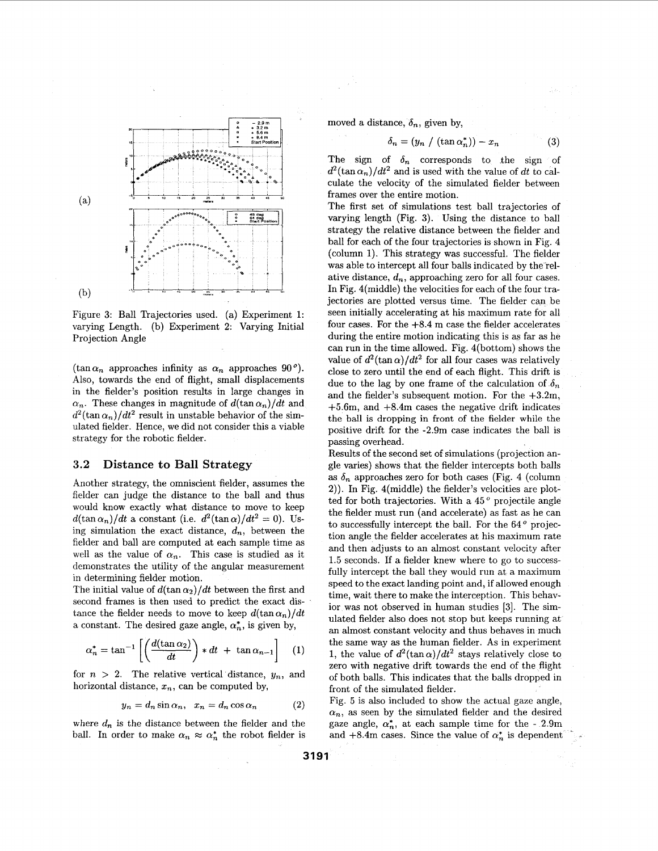

Figure 3: Ball Trajectories used. (a) Experiment **1:**  varying Length. (b) Experiment **2:** Varying Initial Projection Angle

 $(\tan \alpha_n$  approaches infinity as  $\alpha_n$  approaches 90<sup>°</sup>). Also, towards the end of flight, small displacements in the fielder's position results in large changes in  $\alpha_n$ . These changes in magnitude of  $d(\tan \alpha_n)/dt$  and  $d^2(\tan \alpha_n)/dt^2$  result in unstable behavior of the simulated fielder. Hence, we did not consider this a viable strategy for the robotic fielder.

#### **3.2 Distance to Ball Strategy**

Another strategy, the omniscient fielder, assumes the fielder can judge the distance to the ball and thus would know exactly what distance to move to keep  $d(\tan \alpha_n)/dt$  a constant (i.e.  $d^2(\tan \alpha)/dt^2 = 0$ ). Using simulation the exact distance,  $d_n$ , between the fielder and ball are computed at each sample time as well as the value of  $\alpha_n$ . This case is studied as it demonstrates the utility of the angular measurement in determining fielder motion.

The initial value of  $d(\tan \alpha_2)/dt$  between the first and second frames is then used to predict the exact distance the fielder needs to move to keep  $d(\tan \alpha_n)/dt$ a constant. The desired gaze angle,  $\alpha_n^*$ , is given by,

$$
\alpha_n^* = \tan^{-1} \left[ \left( \frac{d(\tan \alpha_2)}{dt} \right) * dt + \tan \alpha_{n-1} \right] \tag{1}
$$

for  $n > 2$ . The relative vertical distance,  $y_n$ , and horizontal distance,  $x_n$ , can be computed by,

$$
y_n = d_n \sin \alpha_n, \quad x_n = d_n \cos \alpha_n \tag{2}
$$

where  $d_n$  is the distance between the fielder and the ball. In order to make  $\alpha_n \approx \alpha_n^*$  the robot fielder is moved a distance,  $\delta_n$ , given by,

$$
\delta_n = (y_n / (\tan \alpha_n^*)) - x_n \tag{3}
$$

The sign of  $\delta_n$  corresponds to the sign of  $d^2(\tan \alpha_n)/dt^2$  and is used with the value of dt to calculate the velocity of the simulated fielder between frames over the entire motion.

The first set of simulations test ball trajectories of varying length (Fig. 3). Using the distance to ball strategy the relative distance between the fielder and ball for each of the four trajectories is shown in Fig. 4 (column **1).** This strategy was successful. The fielder was able to intercept all four balls indicated by the relative distance,  $d_n$ , approaching zero for all four cases. In Fig. 4(middle) the velocities for each of the four trajectories are plotted versus time. The fielder can be seen initially accelerating at his maximum rate for all four cases. For the  $+8.4$  m case the fielder accelerates during the entire motion indicating this is as far **as** he can run in the time allowed. Fig. 4(bottom) shows the value of  $d^2(\tan \alpha)/dt^2$  for all four cases was relatively close to zero until the end of each flight. This drift is due to the lag by one frame of the calculation of  $\delta_n$ and the fielder's subsequent motion. For the  $+3.2m$ , +5.6m, and +8.4m cases the negative drift indicates the ball is dropping in front of the fielder while the positive drift for the -2.9m case indicates the ball is passing overhead.

Results of the second set of simulations (projection angle varies) shows that the fielder intercepts both balls as  $\delta_n$  approaches zero for both cases (Fig. 4 (column 2)). In Fig. 4(middle) the fielder's velocities are plotted for both trajectories. With a  $45^{\degree}$  projectile angle the fielder must run (and accelerate) as fast as he can to successfully intercept the ball. For the  $64^{\degree}$  projection angle the fielder accelerates at his maximum rate and then adjusts to an almost constant velocity after **1.5** seconds. If a fielder knew where to go to successfully intercept the ball they would run at a maximum speed to the exact landing point and, if allowed enough time, wait there to make the interception. This behavior was not observed in human studies [3]. The simulated fielder also does not stop but keeps running at an almost constant velocity and thus behaves in much the same way as the human fielder. As in experiment 1, the value of  $d^2(\tan \alpha)/dt^2$  stays relatively close to zero with negative drift towards the end of the flight of both balls. This indicates that the balls dropped in front of the simulated fielder.

Fig. **5** is also included to show the actual gaze angle,  $\alpha_n$ , as seen by the simulated fielder and the desired gaze angle,  $\alpha_n^*$ , at each sample time for the - 2.9m and  $+8.4$ m cases. Since the value of  $\alpha_n^*$  is dependent

**3191**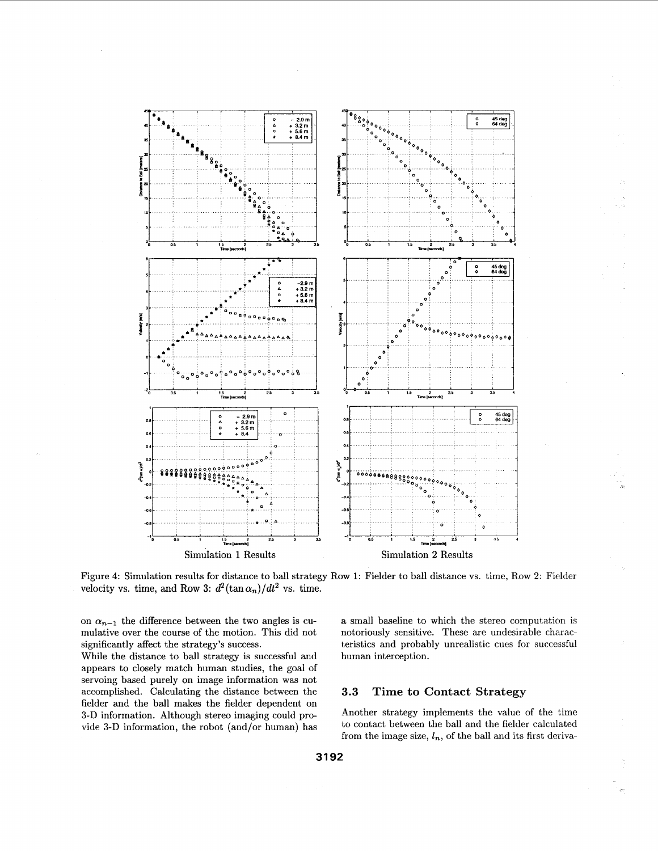

Figure 4: Simulation results for distance to ball strategy Row 1: Fielder to ball distance vs. time, Row 2: Fielder velocity vs. time, and Row 3:  $d^2(\tan \alpha_n)/dt^2$  vs. time.

on  $\alpha_{n-1}$  the difference between the two angles is cumulative over the course of the motion. This did not significantly affect the strategy's success.

While the distance to ball strategy is successful and appears to closely match human studies, the goal of servoing based purely on image information **was** not accomplished. Calculating the distance between the fielder and the ball makes the fielder dependent on **3-D** information. Although stereo imaging could provide **3-D** information, the robot (and/or human) has a small baseline to which the stereo computation is notoriously sensitive. These are undesirable characteristics and probably unrealistic cues for successful human interception.

## **3.3 Time to Contact Strategy**

Another strategy implements the value of the time to contact between the ball and the fielder calculated from the image size,  $l_n$ , of the ball and its first deriva-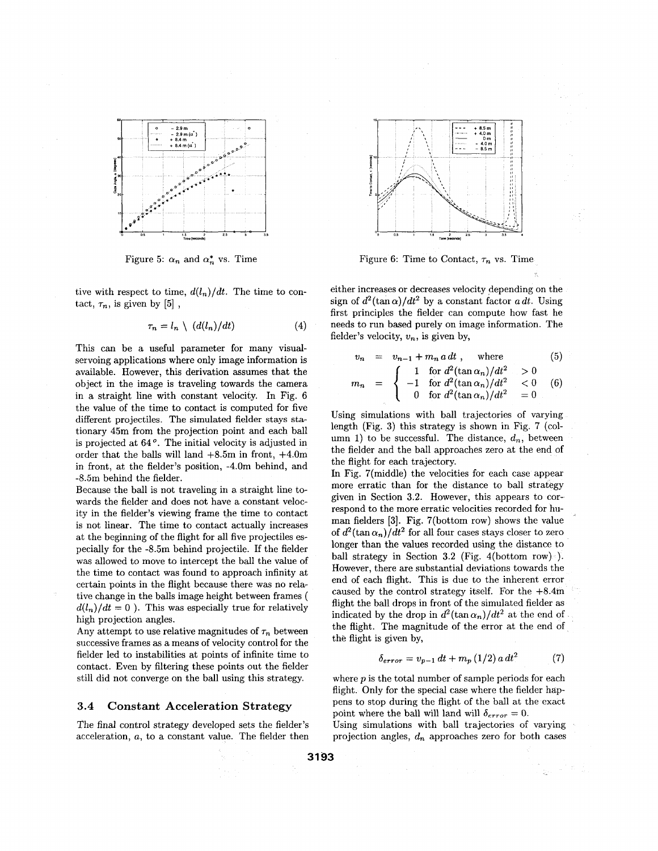![](_page_4_Figure_0.jpeg)

Figure 5:  $\alpha_n$  and  $\alpha_n^*$  vs. Time

tive with respect to time,  $d(l_n)/dt$ . The time to contact,  $\tau_n$ , is given by [5],

$$
r_n = l_n \setminus (d(l_n)/dt) \tag{4}
$$

This can be a useful parameter for many visualservoing applications where only image information is available. However, this derivation assumes that the object in the image is traveling towards the camera in a straight line with constant velocity. In Fig. **6**  the value of the time to contact is computed for five different projectiles. The simulated fielder stays stationary 45m from the projection point and each ball is projected at  $64^o$ . The initial velocity is adjusted in order that the balls will land  $+8.5m$  in front,  $+4.0m$ in front, at the fielder's position, -4.0m behind, and -8.5m behind the fielder.

Because the ball is not traveling in **a,** straight line towards the fielder and does not have a constant velocity in the fielder's viewing frame the time to contact is not linear. The time to contact actually increases at the beginning of the flight for all five projectiles especially for the -8.5m behind projectile. If the fielder was allowed to move to intercept the ball the value of the time to contact was found to approach infinity at certain points in the flight because there was no relative change in the balls image height between frames (  $d(l_n)/dt = 0$ ). This was especially true for relatively high projection angles.

Any attempt to use relative magnitudes of  $\tau_n$  between successive frames as a means of velocity control for the fielder led to instabilities at points of infinite time to contact. Even by filtering these points out the fielder still did not converge on the ball using this strategy.

#### **3.4 Constant Acceleration Strategy**

The final control strategy developed sets the fielder's acceleration, a, to a constant value. The fielder then

![](_page_4_Figure_9.jpeg)

Figure 6: Time to Contact,  $\tau_n$  vs. Time

either increases or decreases velocity depending on the sign of  $d^2(\tan \alpha)/dt^2$  by a constant factor a dt. Using first principles the fielder can compute how fast he needs to run based purely on image information. The fielder's velocity,  $v_n$ , is given by,

$$
v_n = v_{n-1} + m_n a dt , \quad \text{where} \tag{5}
$$

$$
m_n = \begin{cases} 1 & \text{for } d^2(\tan \alpha_n)/dt^2 > 0 \\ -1 & \text{for } d^2(\tan \alpha_n)/dt^2 < 0 \\ 0 & \text{for } d^2(\tan \alpha_n)/dt^2 = 0 \end{cases}
$$
 (6)

Using simulations with ball trajectories of varying length (Fig. **3)** this strategy is shown in Fig. 7 (column 1) to be successful. The distance,  $d_n$ , between the fielder and the ball approaches zero at the end of the flight for each trajectory.

In Fig. 7(middle) the velocities for each case appear more erratic than for the distance to ball strategy given in Section **3.2.** However, this appears to correspond to the more erratic velocities recorded for human fielders **[3].** Fig. 7(bottom row) shows the value of  $d^2(\tan \alpha_n)/dt^2$  for all four cases stays closer to zero longer than the values recorded using the distance to ball strategy in Section **3.2** (Fig. 4(bottom row) ). However, there are substantial deviations towards the end of each flight. This is due to the inherent error caused by the control strategy itself. For the +8.4m flight the ball drops in front of the simulated fielder as indicated by the drop in  $d^2(\tan \alpha_n)/dt^2$  at the end of the flight. The magnitude of the error at the end of the flight is given by,

$$
\delta_{error} = v_{p-1} dt + m_p (1/2) a dt^2 \qquad (7)
$$

where *p* is the total number of sample periods for each flight. Only for the special case where the fielder happens to stop during the flight of the ball at the exact point where the ball will land will  $\delta_{error} = 0$ .

Using simulations with ball trajectories of varying projection angles,  $d_n$  approaches zero for both cases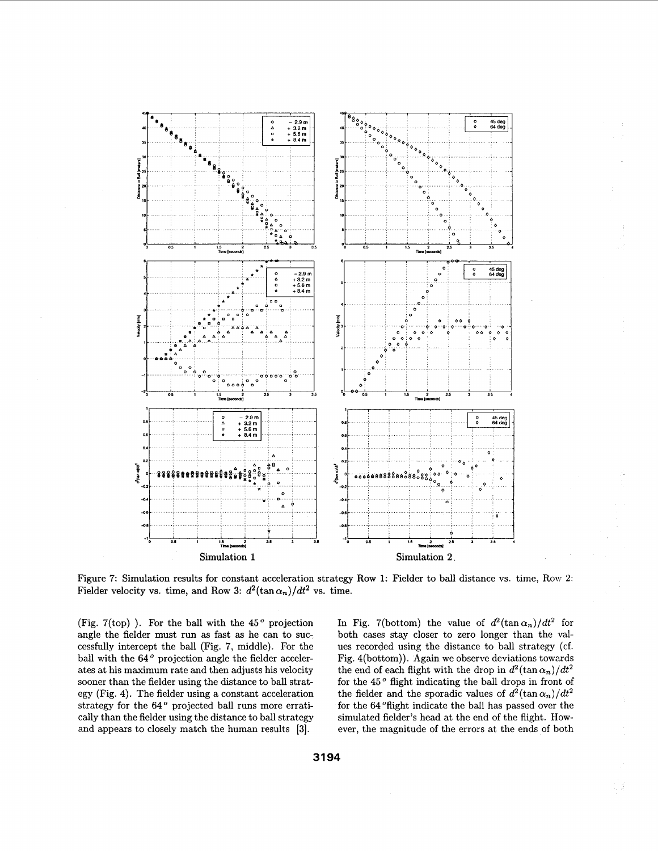![](_page_5_Figure_0.jpeg)

Figure **7:** Simulation results for constant acceleration strategy Row **1:** Fielder to ball distance vs. time, Row **2:**  Fielder velocity vs. time, and Row 3:  $d^2(\tan \alpha_n)/dt^2$  vs. time.

(Fig. 7(top)). For the ball with the  $45^{\degree}$  projection angle the fielder must run as fast as he can to successfully intercept the ball (Fig. 7, middle). For the ball with the 64° projection angle the fielder accelerates at his maximum rate and then adjusts his velocity sooner than the fielder using the distance to ball strategy (Fig. **4).** The fielder using a constant acceleration strategy for the **64"** projected ball runs more erratically than the fielder using the distance to ball strategy and appears to closely match the human results **[3].** 

In Fig. 7(bottom) the value of  $d^2(\tan \alpha_n)/dt^2$  for both cases stay closer to zero longer than the values recorded using the distance to ball strategy (cf. Fig. 4(bottom)). Again we observe deviations towards the end of each flight with the drop in  $d^2(\tan \alpha_n)/dt^2$ for the  $45°$  flight indicating the ball drops in front of the fielder and the sporadic values of  $d^2(\tan \alpha_n)/dt^2$ for the **64** "flight indicate the ball has passed over the simulated fielder's head at the end of the flight. However, the magnitude of the errors at the ends of both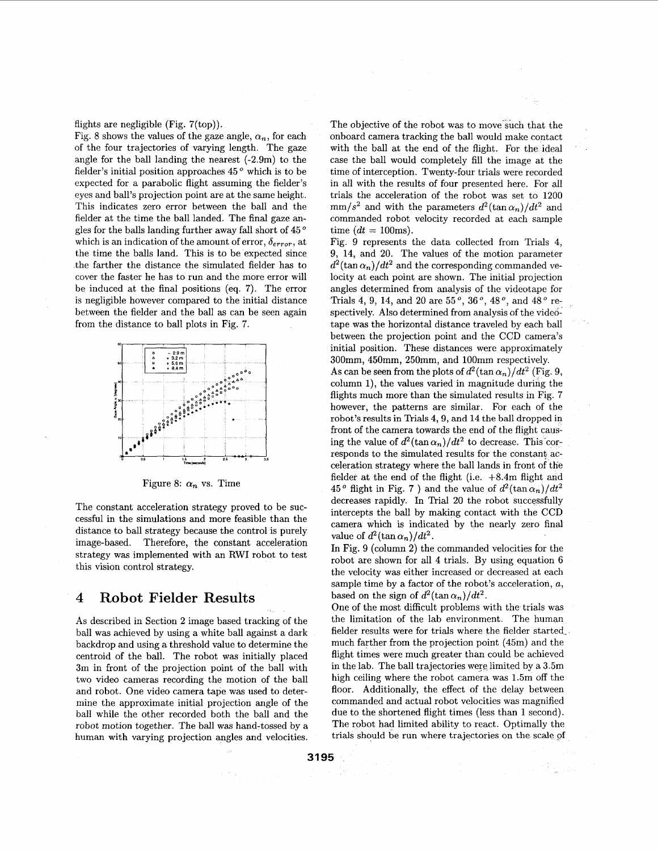flights are negligible (Fig. 7(top)).

Fig. 8 shows the values of the gaze angle,  $\alpha_n$ , for each of the four trajectories of varying length. The gaze angle for the ball landing the nearest (-2.9m) to the fielder's initial position approaches  $45<sup>o</sup>$  which is to be expected for a parabolic flight assuming the fielder's eyes and ball's projection point are at the same height. This indicates zero error between the ball and the fielder at the time the ball landed. The final gaze an-gles for the balls landing further away fall short of 45 ' which is an indication of the amount of error,  $\delta_{error}$ , at the time the balls land. This is to be expected since the farther the distance the simulated fielder has to cover the faster he has to run and the more error will be induced at the final positions (eq. **7).** The error is negligible however compared to the initial distance between the fielder and the ball **as** can be seen again from the distance to ball plots in Fig. 7.

![](_page_6_Figure_2.jpeg)

Figure 8:  $\alpha_n$  vs. Time

The constant acceleration strategy proved to be successful in the simulations and more feasible than the distance to ball strategy because the control is purely image-based. Therefore, the constant acceleration strategy **was** implemented with an RWI robot to test this vision control strategy.

## **4 Robot Fielder Results**

As described in Section **2** image based tracking of the ball was achieved by using a white ball against a dark backdrop and using a threshold value to determine the centroid of the ball. The robot was initially placed 3m in front of the projection point of the ball with two video cameras recording the motion of the ball and robot. One video camera tape was used to determine the approximate initial projection angle of the ball while the other recorded both the ball and the robot motion together. The ball was hand-tossed by a human with varying projection angles and velocities.

The objective of the robot was to move such that the onboard camera tracking the ball would make contact with the ball at the end of the flight. For the ideal case the ball would completely fill the image at the time of interception. Twenty-four trials were recorded in all with the results of four presented here. For all trials the acceleration of the robot was set to 1200  $mm/s^2$  and with the parameters  $d^2(\tan \alpha_n)/dt^2$  and commanded robot velocity recorded at each sample time  $(dt = 100$ ms).

Fig. 9 represents the data collected from Trials **4,**  9, 14, and 20. The values of the motion parameter  $d^2(\tan \alpha_n)/dt^2$  and the corresponding commanded velocity at each point are shown. The initial projection angles determined from analysis of the videotape for Trials 4, 9, 14, and 20 are 55<sup>°</sup>, 36<sup>°</sup>, 48<sup>°</sup>, and 48<sup>°</sup> respectively. Also determined from analysis of the videotape was the horizontal distance traveled by each ball between the projection point and the **CCD** camera's initial position. These distances were approximately 300mm, 450mm, 250mm, and 100mm respectively. As can be seen from the plots of  $d^2(\tan \alpha_n)/dt^2$  (Fig. 9, column 1), the values varied in magnitude during the flights much more than the simulated results in Fig. 7 however, the patterns are similar. For each of the robot's results in Trials 4, 9, and 14 the ball dropped in front of the camera towards the end of the flight causing the value of  $d^2(\tan \alpha_n)/dt^2$  to decrease. This corresponds to the simulated results for the constant acceleration strategy where the ball lands in front of tlie fielder at the end of the flight (i.e. +8.4m flight and 45° flight in Fig. 7 ) and the value of  $d^2(\tan \alpha_n)/dt^2$ decreases rapidly. In Trial **20** the robot successfully intercepts the ball by making contact with the **CCD** camera which is indicated by the nearly zero final value of  $d^2(\tan \alpha_n)/dt^2$ .

In Fig. 9 (column **2)** the commanded velocities for the robot are shown for all **4** trials. By using equation *6*  the velocity was either increased or decreased at each sample time by a factor of the robot's acceleration, *a,*  based on the sign of  $d^2(\tan \alpha_n)/dt^2$ .

One of the most difficult problems with the trials was the limitation of the lab environment. The human fielder results were for trials where the fielder started much farther from the projection point (45m) and the flight times were much greater than could be achieved in the lab. The ball trajectories were limited by a 3.5m high ceiling where the robot camera was 1.5m off the floor. Additionally, the effect of the delay between commanded and actual robot velocities was magnified due to the shortened flight times (less than 1 second). The robot had limited ability to react. Optimally the trials should be run where trajectories on the scale of